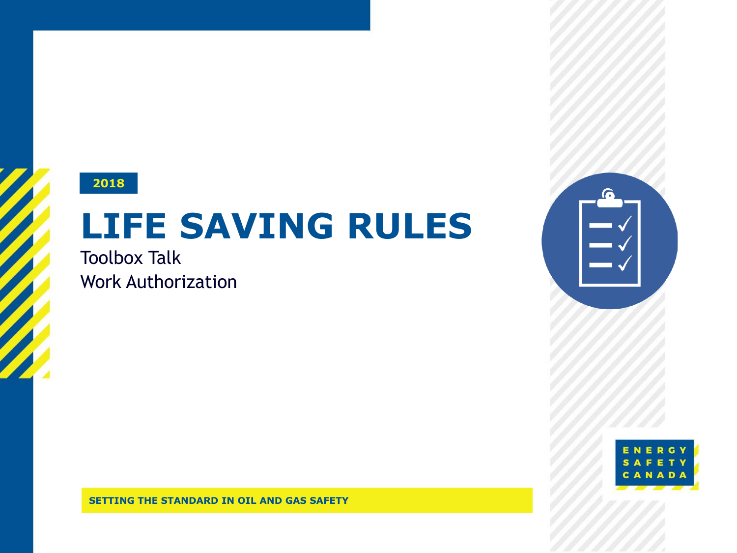#### **2018**

# **LIFE SAVING RULES**

Toolbox Talk Work Authorization



**SETTING THE STANDARD IN OIL AND GAS SAFETY**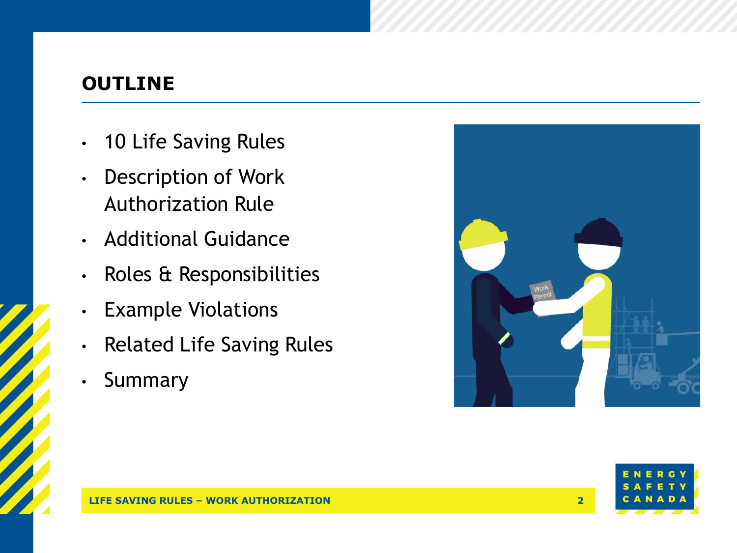#### **OUTLINE**

- 10 Life Saving Rules
- Description of Work Authorization Rule
- Additional Guidance
- Roles & Responsibilities
- Example Violations
- Related Life Saving Rules
- Summary



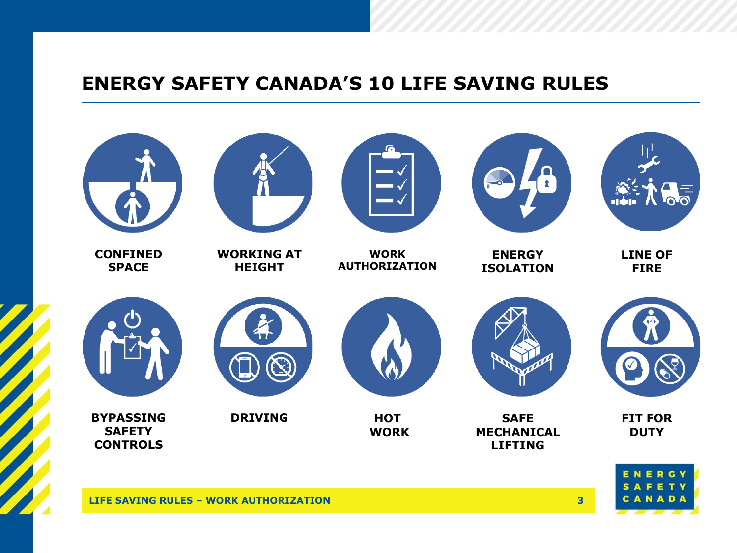#### **ENERGY SAFETY CANADA'S 10 LIFE SAVING RULES**

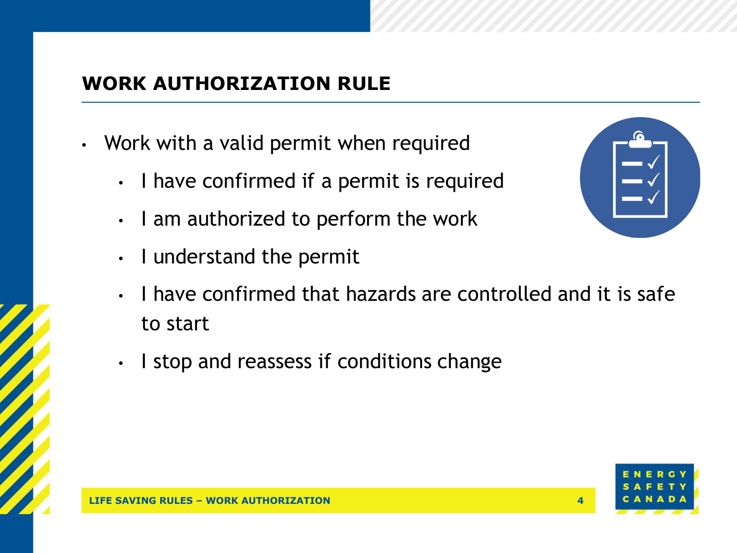### **WORK AUTHORIZATION RULE**

- Work with a valid permit when required
	- I have confirmed if a permit is required
	- I am authorized to perform the work
	- I understand the permit
	- I have confirmed that hazards are controlled and it is safe to start
	- I stop and reassess if conditions change



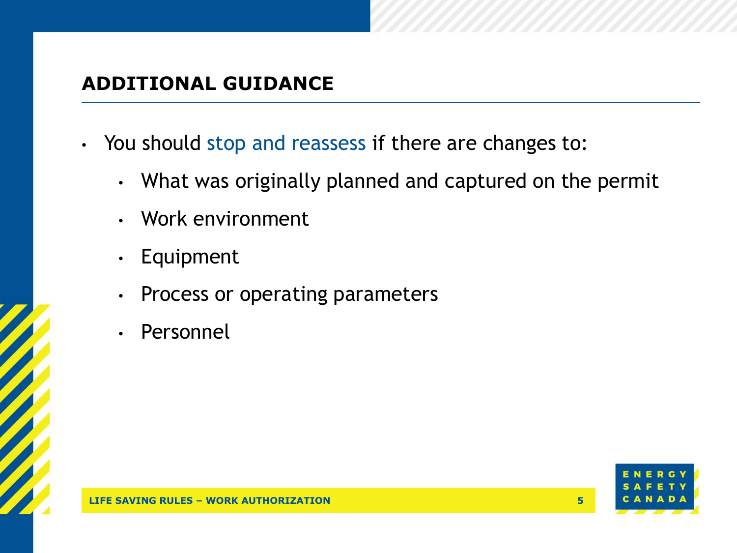#### **ADDITIONAL GUIDANCE**

- You should stop and reassess if there are changes to:
	- What was originally planned and captured on the permit
	- Work environment
	- Equipment
	- Process or operating parameters
	- **Personnel**

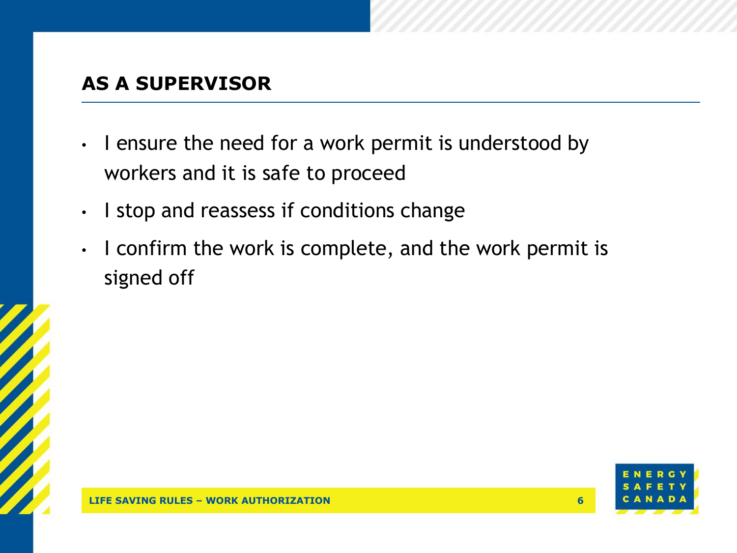#### **AS A SUPERVISOR**

- I ensure the need for a work permit is understood by workers and it is safe to proceed
- I stop and reassess if conditions change
- I confirm the work is complete, and the work permit is signed off

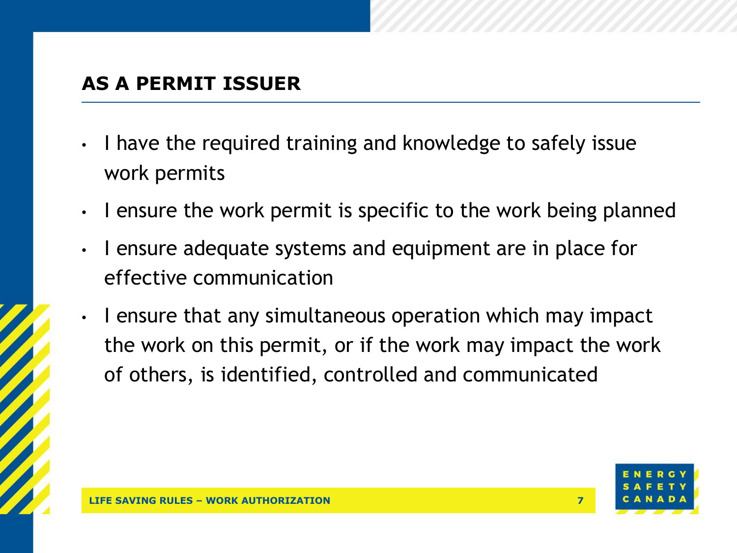#### **AS A PERMIT ISSUER**

- I have the required training and knowledge to safely issue work permits
- I ensure the work permit is specific to the work being planned
- I ensure adequate systems and equipment are in place for effective communication
- I ensure that any simultaneous operation which may impact the work on this permit, or if the work may impact the work of others, is identified, controlled and communicated

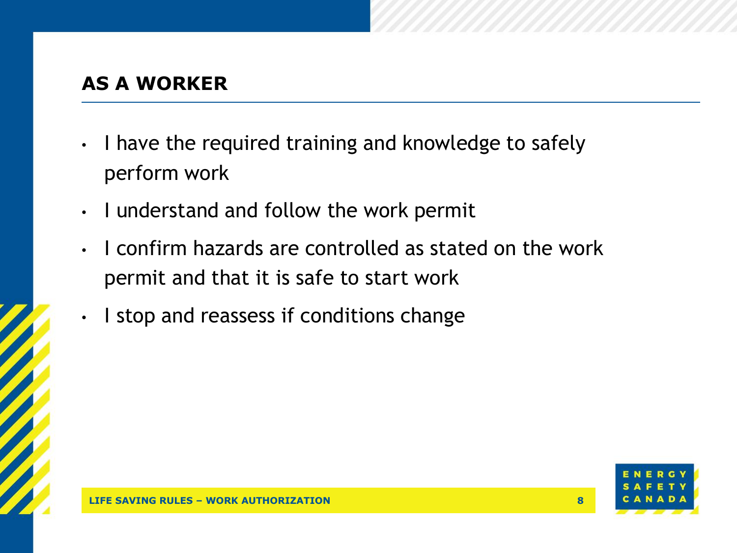#### **AS A WORKER**

- I have the required training and knowledge to safely perform work
- I understand and follow the work permit
- I confirm hazards are controlled as stated on the work permit and that it is safe to start work
- I stop and reassess if conditions change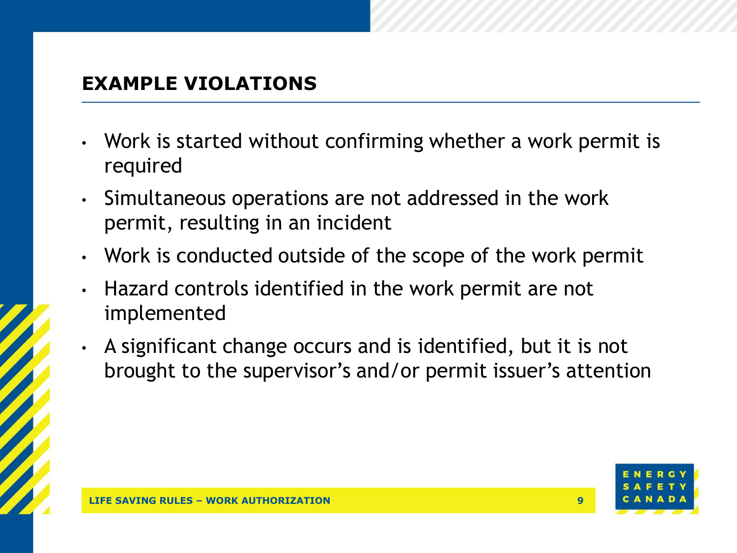#### **EXAMPLE VIOLATIONS**

- Work is started without confirming whether a work permit is required
- Simultaneous operations are not addressed in the work permit, resulting in an incident
- Work is conducted outside of the scope of the work permit
- Hazard controls identified in the work permit are not implemented
- A significant change occurs and is identified, but it is not brought to the supervisor's and/or permit issuer's attention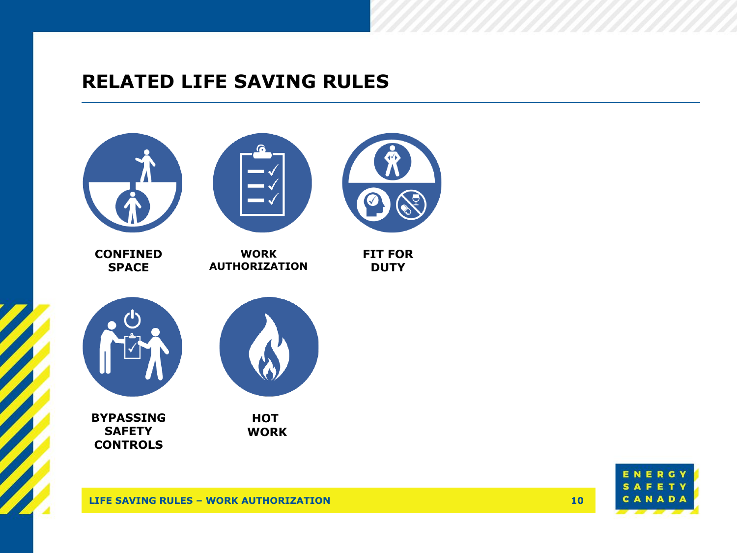#### **RELATED LIFE SAVING RULES**



G Е N  $\mathbf{s}$ **AFETY** CANADA

**LIFE SAVING RULES – WORK AUTHORIZATION**

**10**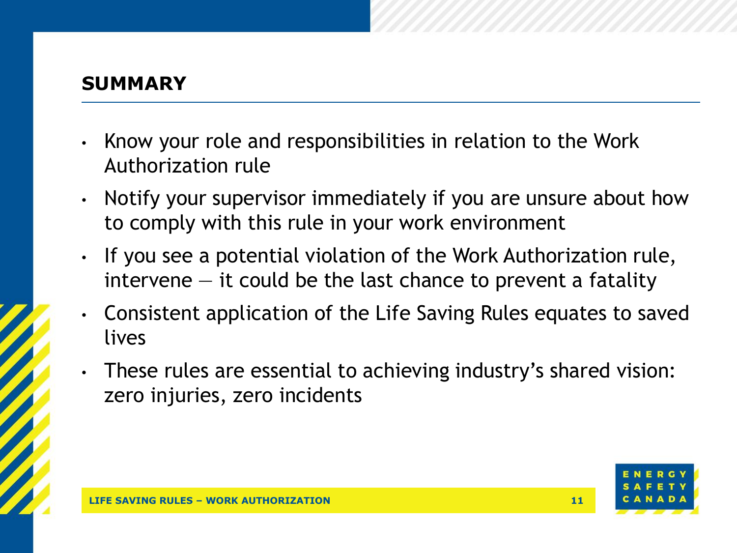#### **SUMMARY**

- Know your role and responsibilities in relation to the Work Authorization rule
- Notify your supervisor immediately if you are unsure about how to comply with this rule in your work environment
- If you see a potential violation of the Work Authorization rule, intervene  $-$  it could be the last chance to prevent a fatality
- Consistent application of the Life Saving Rules equates to saved lives
- These rules are essential to achieving industry's shared vision: zero injuries, zero incidents